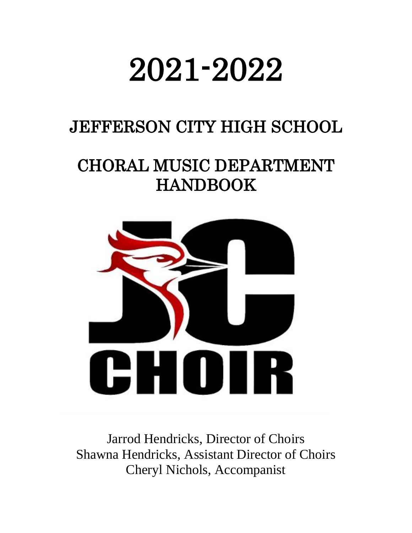# 2021-2022

# JEFFERSON CITY HIGH SCHOOL

# CHORAL MUSIC DEPARTMENT HANDBOOK



Jarrod Hendricks, Director of Choirs Shawna Hendricks, Assistant Director of Choirs Cheryl Nichols, Accompanist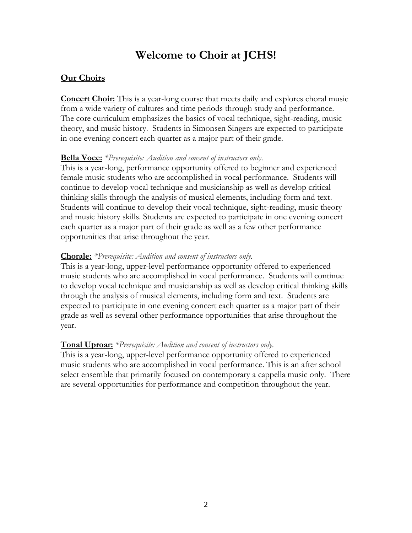## **Welcome to Choir at JCHS!**

#### **Our Choirs**

**Concert Choir:** This is a year-long course that meets daily and explores choral music from a wide variety of cultures and time periods through study and performance. The core curriculum emphasizes the basics of vocal technique, sight-reading, music theory, and music history. Students in Simonsen Singers are expected to participate in one evening concert each quarter as a major part of their grade.

#### **Bella Voce:** *\*Prerequisite: Audition and consent of instructors only.*

This is a year-long, performance opportunity offered to beginner and experienced female music students who are accomplished in vocal performance. Students will continue to develop vocal technique and musicianship as well as develop critical thinking skills through the analysis of musical elements, including form and text. Students will continue to develop their vocal technique, sight-reading, music theory and music history skills. Students are expected to participate in one evening concert each quarter as a major part of their grade as well as a few other performance opportunities that arise throughout the year.

#### **Chorale:** *\*Prerequisite: Audition and consent of instructors only.*

This is a year-long, upper-level performance opportunity offered to experienced music students who are accomplished in vocal performance. Students will continue to develop vocal technique and musicianship as well as develop critical thinking skills through the analysis of musical elements, including form and text. Students are expected to participate in one evening concert each quarter as a major part of their grade as well as several other performance opportunities that arise throughout the year.

#### **Tonal Uproar:** *\*Prerequisite: Audition and consent of instructors only.*

This is a year-long, upper-level performance opportunity offered to experienced music students who are accomplished in vocal performance. This is an after school select ensemble that primarily focused on contemporary a cappella music only. There are several opportunities for performance and competition throughout the year.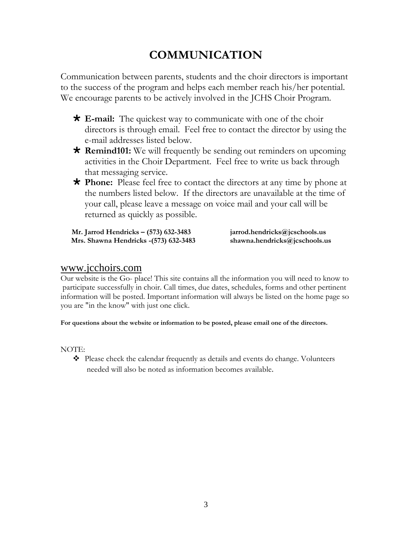# **COMMUNICATION**

Communication between parents, students and the choir directors is important to the success of the program and helps each member reach his/her potential. We encourage parents to be actively involved in the JCHS Choir Program.

- **E-mail:** The quickest way to communicate with one of the choir directors is through email. Feel free to contact the director by using the e-mail addresses listed below.
- **Remind101:** We will frequently be sending out reminders on upcoming activities in the Choir Department. Feel free to write us back through that messaging service.
- **Phone:** Please feel free to contact the directors at any time by phone at the numbers listed below. If the directors are unavailable at the time of your call, please leave a message on voice mail and your call will be returned as quickly as possible.

 **Mr. Jarrod Hendricks – (573) 632-3483 jarrod.hendricks@jcschools.us Mrs. Shawna Hendricks -(573) 632-3483 shawna.hendricks@jcschools.us**

#### [www.jcchoirs.com](http://www.jcchoirs.com/)

Our website is the Go- place! This site contains all the information you will need to know to participate successfully in choir. Call times, due dates, schedules, forms and other pertinent information will be posted. Important information will always be listed on the home page so you are "in the know" with just one click.

#### **For questions about the website or information to be posted, please email one of the directors.**

NOTE:

❖ Please check the calendar frequently as details and events do change. Volunteers needed will also be noted as information becomes available.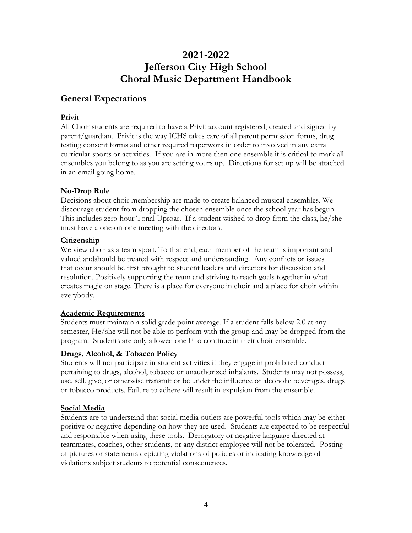### **2021-2022 Jefferson City High School Choral Music Department Handbook**

#### **General Expectations**

#### **Privit**

All Choir students are required to have a Privit account registered, created and signed by parent/guardian. Privit is the way JCHS takes care of all parent permission forms, drug testing consent forms and other required paperwork in order to involved in any extra curricular sports or activities. If you are in more then one ensemble it is critical to mark all ensembles you belong to as you are setting yours up. Directions for set up will be attached in an email going home.

#### **No‐Drop Rule**

Decisions about choir membership are made to create balanced musical ensembles. We discourage student from dropping the chosen ensemble once the school year has begun. This includes zero hour Tonal Uproar. If a student wished to drop from the class, he/she must have a one-on-one meeting with the directors.

#### **Citizenship**

We view choir as a team sport. To that end, each member of the team is important and valued andshould be treated with respect and understanding. Any conflicts or issues that occur should be first brought to student leaders and directors for discussion and resolution. Positively supporting the team and striving to reach goals together in what creates magic on stage. There is a place for everyone in choir and a place for choir within everybody.

#### **Academic Requirements**

Students must maintain a solid grade point average. If a student falls below 2.0 at any semester, He/she will not be able to perform with the group and may be dropped from the program. Students are only allowed one F to continue in their choir ensemble.

#### **Drugs, Alcohol, & Tobacco Policy**

Students will not participate in student activities if they engage in prohibited conduct pertaining to drugs, alcohol, tobacco or unauthorized inhalants. Students may not possess, use, sell, give, or otherwise transmit or be under the influence of alcoholic beverages, drugs or tobacco products. Failure to adhere will result in expulsion from the ensemble.

#### **Social Media**

Students are to understand that social media outlets are powerful tools which may be either positive or negative depending on how they are used. Students are expected to be respectful and responsible when using these tools. Derogatory or negative language directed at teammates, coaches, other students, or any district employee will not be tolerated. Posting of pictures or statements depicting violations of policies or indicating knowledge of violations subject students to potential consequences.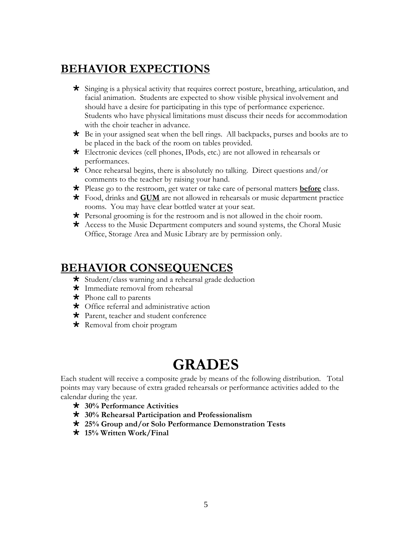### **BEHAVIOR EXPECTIONS**

- Singing is a physical activity that requires correct posture, breathing, articulation, and facial animation. Students are expected to show visible physical involvement and should have a desire for participating in this type of performance experience. Students who have physical limitations must discuss their needs for accommodation with the choir teacher in advance.
- $\star$  Be in your assigned seat when the bell rings. All backpacks, purses and books are to be placed in the back of the room on tables provided.
- Electronic devices (cell phones, IPods, etc.) are not allowed in rehearsals or performances.
- Once rehearsal begins, there is absolutely no talking. Direct questions and/or comments to the teacher by raising your hand.
- Please go to the restroom, get water or take care of personal matters **before** class.
- Food, drinks and **GUM** are not allowed in rehearsals or music department practice rooms. You may have clear bottled water at your seat.
- Personal grooming is for the restroom and is not allowed in the choir room.
- \* Access to the Music Department computers and sound systems, the Choral Music Office, Storage Area and Music Library are by permission only.

### **BEHAVIOR CONSEQUENCES**

- $\star$  Student/class warning and a rehearsal grade deduction
- \* Immediate removal from rehearsal
- $\star$  Phone call to parents
- Office referral and administrative action
- \* Parent, teacher and student conference
- \* Removal from choir program

# **GRADES**

Each student will receive a composite grade by means of the following distribution. Total points may vary because of extra graded rehearsals or performance activities added to the calendar during the year.

- **30% Performance Activities**
- **30% Rehearsal Participation and Professionalism**
- **25% Group and/or Solo Performance Demonstration Tests**
- **15% Written Work/Final**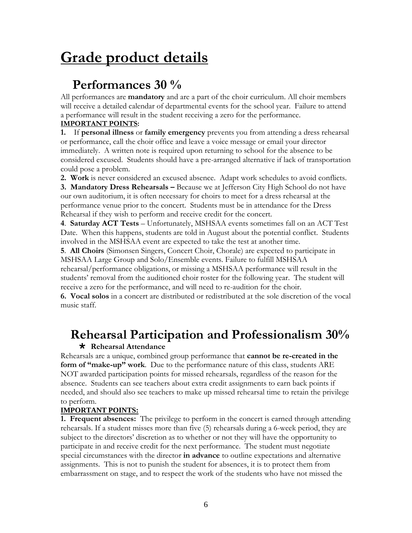# **Grade product details**

## **Performances 30 %**

All performances are **mandatory** and are a part of the choir curriculum. All choir members will receive a detailed calendar of departmental events for the school year. Failure to attend a performance will result in the student receiving a zero for the performance.

#### **IMPORTANT POINTS:**

**1.** If **personal illness** or **family emergency** prevents you from attending a dress rehearsal or performance, call the choir office and leave a voice message or email your director immediately. A written note is required upon returning to school for the absence to be considered excused. Students should have a pre-arranged alternative if lack of transportation could pose a problem.

**2. Work** is never considered an excused absence. Adapt work schedules to avoid conflicts.

**3. Mandatory Dress Rehearsals –** Because we at Jefferson City High School do not have our own auditorium, it is often necessary for choirs to meet for a dress rehearsal at the performance venue prior to the concert. Students must be in attendance for the Dress Rehearsal if they wish to perform and receive credit for the concert.

**4**. **Saturday ACT Tests** – Unfortunately, MSHSAA events sometimes fall on an ACT Test Date. When this happens, students are told in August about the potential conflict. Students involved in the MSHSAA event are expected to take the test at another time.

**5**. **All Choirs** (Simonsen Singers, Concert Choir, Chorale) are expected to participate in MSHSAA Large Group and Solo/Ensemble events. Failure to fulfill MSHSAA rehearsal/performance obligations, or missing a MSHSAA performance will result in the students' removal from the auditioned choir roster for the following year. The student will receive a zero for the performance, and will need to re-audition for the choir.

**6. Vocal solos** in a concert are distributed or redistributed at the sole discretion of the vocal music staff.

# **Rehearsal Participation and Professionalism 30%**

#### **Rehearsal Attendance**

Rehearsals are a unique, combined group performance that **cannot be re-created in the form of "make-up" work**. Due to the performance nature of this class, students ARE NOT awarded participation points for missed rehearsals, regardless of the reason for the absence. Students can see teachers about extra credit assignments to earn back points if needed, and should also see teachers to make up missed rehearsal time to retain the privilege to perform.

#### **IMPORTANT POINTS:**

**1. Frequent absences:** The privilege to perform in the concert is earned through attending rehearsals. If a student misses more than five (5) rehearsals during a 6-week period, they are subject to the directors' discretion as to whether or not they will have the opportunity to participate in and receive credit for the next performance. The student must negotiate special circumstances with the director **in advance** to outline expectations and alternative assignments. This is not to punish the student for absences, it is to protect them from embarrassment on stage, and to respect the work of the students who have not missed the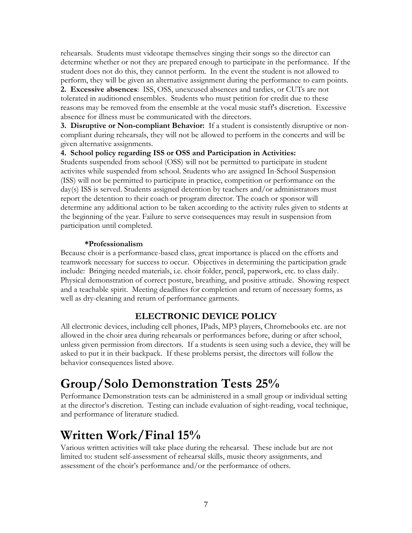rehearsals. Students must videotape themselves singing their songs so the director can determine whether or not they are prepared enough to participate in the performance. If the student does not do this, they cannot perform. In the event the student is not allowed to perform, they will be given an alternative assignment during the performance to earn points.

**2. Excessive absences**: ISS, OSS, unexcused absences and tardies, or CUTs are not tolerated in auditioned ensembles. Students who must petition for credit due to these reasons may be removed from the ensemble at the vocal music staff's discretion. Excessive absence for illness must be communicated with the directors.

**3. Disruptive or Non-compliant Behavior:** If a student is consistently disruptive or noncompliant during rehearsals, they will not be allowed to perform in the concerts and will be given alternative assignments.

#### **4. School policy regarding ISS or OSS and Participation in Activities:**

Students suspended from school (OSS) will not be permitted to participate in student activites while suspended from school. Students who are assigned In-School Suspension (ISS) will not be permitted to participate in practice, competition or performance on the day(s) ISS is served. Students assigned detention by teachers and/or administrators must report the detention to their coach or program director. The coach or sponsor will determine any additional action to be taken according to the activity rules given to stdents at the beginning of the year. Failure to serve consequences may result in suspension from participation until completed.

#### **\*Professionalism**

Because choir is a performance-based class, great importance is placed on the efforts and teamwork necessary for success to occur. Objectives in determining the participation grade include: Bringing needed materials, i.e. choir folder, pencil, paperwork, etc. to class daily. Physical demonstration of correct posture, breathing, and positive attitude. Showing respect and a teachable spirit. Meeting deadlines for completion and return of necessary forms, as well as dry-cleaning and return of performance garments.

#### **ELECTRONIC DEVICE POLICY**

All electronic devices, including cell phones, IPads, MP3 players, Chromebooks etc. are not allowed in the choir area during rehearsals or performances before, during or after school, unless given permission from directors. If a students is seen using such a device, they will be asked to put it in their backpack. If these problems persist, the directors will follow the behavior consequences listed above.

# **Group/Solo Demonstration Tests 25%**

Performance Demonstration tests can be administered in a small group or individual setting at the director's discretion. Testing can include evaluation of sight-reading, vocal technique, and performance of literature studied.

# **Written Work/Final 15%**

Various written activities will take place during the rehearsal. These include but are not limited to: student self-assessment of rehearsal skills, music theory assignments, and assessment of the choir's performance and/or the performance of others.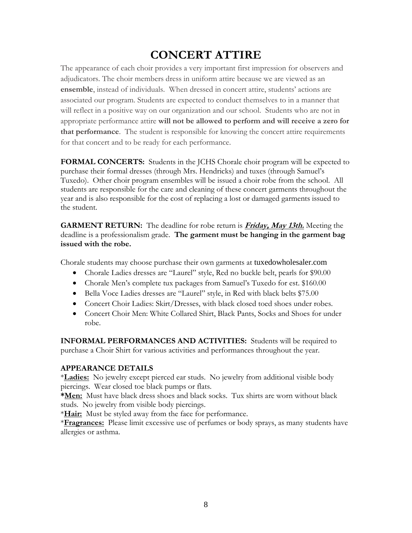# **CONCERT ATTIRE**

The appearance of each choir provides a very important first impression for observers and adjudicators. The choir members dress in uniform attire because we are viewed as an **ensemble**, instead of individuals. When dressed in concert attire, students' actions are associated our program. Students are expected to conduct themselves to in a manner that will reflect in a positive way on our organization and our school. Students who are not in appropriate performance attire **will not be allowed to perform and will receive a zero for that performance**. The student is responsible for knowing the concert attire requirements for that concert and to be ready for each performance.

**FORMAL CONCERTS:** Students in the JCHS Chorale choir program will be expected to purchase their formal dresses (through Mrs. Hendricks) and tuxes (through Samuel's Tuxedo). Other choir program ensembles will be issued a choir robe from the school. All students are responsible for the care and cleaning of these concert garments throughout the year and is also responsible for the cost of replacing a lost or damaged garments issued to the student.

**GARMENT RETURN:** The deadline for robe return is **Friday, May 13th.** Meeting the deadline is a professionalism grade. **The garment must be hanging in the garment bag issued with the robe.**

Chorale students may choose purchase their own garments at tuxedowholesaler.com

- Chorale Ladies dresses are "Laurel" style, Red no buckle belt, pearls for \$90.00
- Chorale Men's complete tux packages from Samuel's Tuxedo for est. \$160.00
- Bella Voce Ladies dresses are "Laurel" style, in Red with black belts \$75.00
- Concert Choir Ladies: Skirt/Dresses, with black closed toed shoes under robes.
- Concert Choir Men: White Collared Shirt, Black Pants, Socks and Shoes for under robe.

**INFORMAL PERFORMANCES AND ACTIVITIES:** Students will be required to purchase a Choir Shirt for various activities and performances throughout the year.

#### **APPEARANCE DETAILS**

\***Ladies:** No jewelry except pierced ear studs. No jewelry from additional visible body piercings. Wear closed toe black pumps or flats.

**\*Men:** Must have black dress shoes and black socks. Tux shirts are worn without black studs. No jewelry from visible body piercings.

\***Hair:** Must be styled away from the face for performance.

\***Fragrances:** Please limit excessive use of perfumes or body sprays, as many students have allergies or asthma.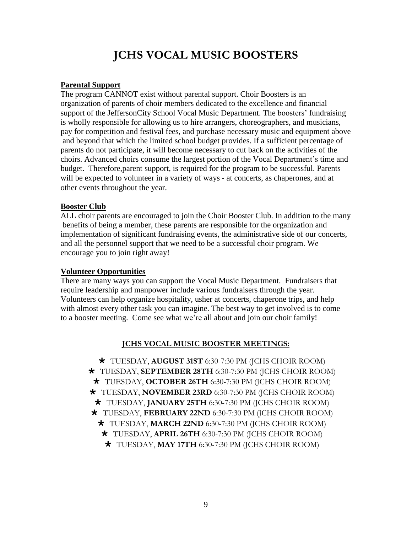# **JCHS VOCAL MUSIC BOOSTERS**

#### **Parental Support**

The program CANNOT exist without parental support. Choir Boosters is an organization of parents of choir members dedicated to the excellence and financial support of the JeffersonCity School Vocal Music Department. The boosters' fundraising is wholly responsible for allowing us to hire arrangers, choreographers, and musicians, pay for competition and festival fees, and purchase necessary music and equipment above and beyond that which the limited school budget provides. If a sufficient percentage of parents do not participate, it will become necessary to cut back on the activities of the choirs. Advanced choirs consume the largest portion of the Vocal Department's time and budget. Therefore,parent support, is required for the program to be successful. Parents will be expected to volunteer in a variety of ways - at concerts, as chaperones, and at other events throughout the year.

#### **Booster Club**

ALL choir parents are encouraged to join the Choir Booster Club. In addition to the many benefits of being a member, these parents are responsible for the organization and implementation of significant fundraising events, the administrative side of our concerts, and all the personnel support that we need to be a successful choir program. We encourage you to join right away!

#### **Volunteer Opportunities**

There are many ways you can support the Vocal Music Department. Fundraisers that require leadership and manpower include various fundraisers through the year. Volunteers can help organize hospitality, usher at concerts, chaperone trips, and help with almost every other task you can imagine. The best way to get involved is to come to a booster meeting. Come see what we're all about and join our choir family!

#### **JCHS VOCAL MUSIC BOOSTER MEETINGS:**

 TUESDAY, **AUGUST 31ST** 6:30-7:30 PM (JCHS CHOIR ROOM) TUESDAY, **SEPTEMBER 28TH** 6:30-7:30 PM (JCHS CHOIR ROOM) TUESDAY, **OCTOBER 26TH** 6:30-7:30 PM (JCHS CHOIR ROOM) TUESDAY, **NOVEMBER 23RD** 6:30-7:30 PM (JCHS CHOIR ROOM) TUESDAY, **JANUARY 25TH** 6:30-7:30 PM (JCHS CHOIR ROOM) TUESDAY, **FEBRUARY 22ND** 6:30-7:30 PM (JCHS CHOIR ROOM) TUESDAY, **MARCH 22ND** 6:30-7:30 PM (JCHS CHOIR ROOM) TUESDAY, **APRIL 26TH** 6:30-7:30 PM (JCHS CHOIR ROOM) TUESDAY, **MAY 17TH** 6:30-7:30 PM (JCHS CHOIR ROOM)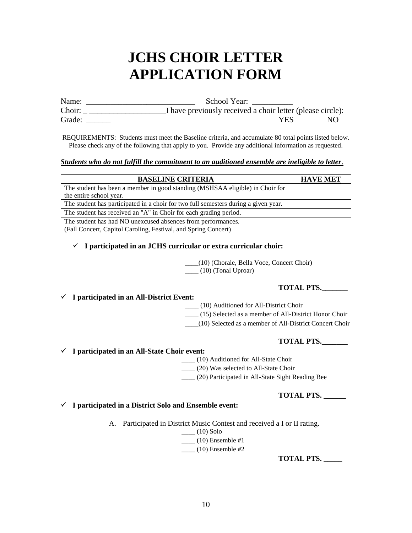# **JCHS CHOIR LETTER APPLICATION FORM**

Name: \_\_\_\_\_\_\_\_\_\_\_\_\_\_\_\_\_\_\_\_\_\_\_\_\_\_\_ School Year: \_\_\_\_\_\_\_\_\_\_ Choir: \_ \_\_\_\_\_\_\_\_\_\_\_\_\_\_\_\_\_\_\_I have previously received a choir letter (please circle): Grade: NO Grade:  $YES$  NO

REQUIREMENTS: Students must meet the Baseline criteria, and accumulate 80 total points listed below. Please check any of the following that apply to you. Provide any additional information as requested.

#### *Students who do not fulfill the commitment to an auditioned ensemble are ineligible to letter*.

| <b>BASELINE CRITERIA</b>                                                            | <b>HAVE MET</b> |
|-------------------------------------------------------------------------------------|-----------------|
| The student has been a member in good standing (MSHSAA eligible) in Choir for       |                 |
| the entire school year.                                                             |                 |
| The student has participated in a choir for two full semesters during a given year. |                 |
| The student has received an "A" in Choir for each grading period.                   |                 |
| The student has had NO unexcused absences from performances.                        |                 |
| (Fall Concert, Capitol Caroling, Festival, and Spring Concert)                      |                 |

#### ✓ **I participated in an JCHS curricular or extra curricular choir:**

 \_\_\_\_(10) (Chorale, Bella Voce, Concert Choir)  $\frac{1}{10}$  (10) (Tonal Uproar)

#### **TOTAL PTS.\_\_\_\_\_\_\_**

#### ✓ **I participated in an All-District Event:**

\_\_\_\_ (10) Auditioned for All-District Choir

\_\_\_\_ (15) Selected as a member of All-District Honor Choir

\_\_\_\_(10) Selected as a member of All-District Concert Choir

#### **TOTAL PTS.\_\_\_\_\_\_\_**

✓ **I participated in an All-State Choir event:** 

\_\_\_\_ (10) Auditioned for All-State Choir

\_\_\_\_ (20) Was selected to All-State Choir

\_\_\_\_ (20) Participated in All-State Sight Reading Bee

#### **TOTAL PTS. \_\_\_\_\_\_**

#### ✓ **I participated in a District Solo and Ensemble event:**

A. Participated in District Music Contest and received a I or II rating.

 $\frac{1}{\sqrt{10}}$  (10) Solo  $\frac{1}{2}$  (10) Ensemble #1

 $\frac{1}{2}$  (10) Ensemble #2

**TOTAL PTS. \_\_\_\_\_**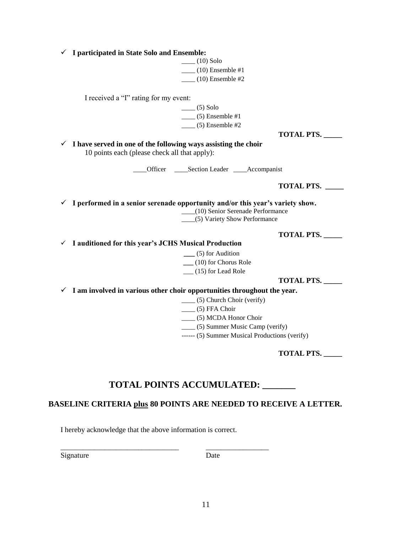| I participated in State Solo and Ensemble:                                                                                   |                                                                  |
|------------------------------------------------------------------------------------------------------------------------------|------------------------------------------------------------------|
| $(10)$ Solo                                                                                                                  |                                                                  |
| $(10)$ Ensemble #1                                                                                                           |                                                                  |
| $(10)$ Ensemble #2                                                                                                           |                                                                  |
|                                                                                                                              |                                                                  |
| I received a "I" rating for my event:                                                                                        |                                                                  |
| $\frac{1}{\sqrt{5}}$ (5) Solo                                                                                                |                                                                  |
| $\frac{1}{2}$ (5) Ensemble #1                                                                                                |                                                                  |
| $\frac{1}{2}$ (5) Ensemble #2                                                                                                |                                                                  |
|                                                                                                                              | <b>TOTAL PTS.</b>                                                |
| $\checkmark$ I have served in one of the following ways assisting the choir<br>10 points each (please check all that apply): |                                                                  |
| ___Officer _____Section Leader ____Accompanist                                                                               |                                                                  |
|                                                                                                                              | <b>TOTAL PTS.</b>                                                |
| $\checkmark$ I performed in a senior serenade opportunity and/or this year's variety show.                                   | (10) Senior Serenade Performance<br>(5) Variety Show Performance |
|                                                                                                                              | <b>TOTAL PTS.</b>                                                |
| $\checkmark$ I auditioned for this year's JCHS Musical Production                                                            |                                                                  |
| $\frac{1}{2}$ (5) for Audition                                                                                               |                                                                  |
| $(10)$ for Chorus Role                                                                                                       |                                                                  |
| $(15)$ for Lead Role                                                                                                         |                                                                  |
|                                                                                                                              | <b>TOTAL PTS.</b>                                                |
| $\checkmark$ I am involved in various other choir opportunities throughout the year.                                         |                                                                  |
|                                                                                                                              |                                                                  |
| (5) FFA Choir                                                                                                                | ____ (5) Church Choir (verify)                                   |
|                                                                                                                              |                                                                  |
|                                                                                                                              | ____ (5) MCDA Honor Choir                                        |
|                                                                                                                              | ____ (5) Summer Music Camp (verify)                              |
|                                                                                                                              | ------ (5) Summer Musical Productions (verify)                   |
|                                                                                                                              | <b>TOTAL PTS.</b>                                                |

### **TOTAL POINTS ACCUMULATED: \_\_\_\_\_\_\_**

#### **BASELINE CRITERIA plus 80 POINTS ARE NEEDED TO RECEIVE A LETTER.**

I hereby acknowledge that the above information is correct.

\_\_\_\_\_\_\_\_\_\_\_\_\_\_\_\_\_\_\_\_\_\_\_\_\_\_\_\_\_\_\_\_ \_\_\_\_\_\_\_\_\_\_\_\_\_\_\_\_\_

Signature Date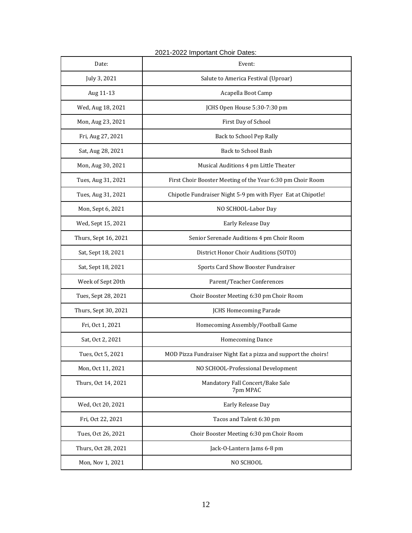| Date:                | Event:                                                         |  |
|----------------------|----------------------------------------------------------------|--|
| July 3, 2021         | Salute to America Festival (Uproar)                            |  |
| Aug 11-13            | Acapella Boot Camp                                             |  |
| Wed, Aug 18, 2021    | JCHS Open House 5:30-7:30 pm                                   |  |
| Mon, Aug 23, 2021    | First Day of School                                            |  |
| Fri, Aug 27, 2021    | Back to School Pep Rally                                       |  |
| Sat, Aug 28, 2021    | <b>Back to School Bash</b>                                     |  |
| Mon, Aug 30, 2021    | Musical Auditions 4 pm Little Theater                          |  |
| Tues, Aug 31, 2021   | First Choir Booster Meeting of the Year 6:30 pm Choir Room     |  |
| Tues, Aug 31, 2021   | Chipotle Fundraiser Night 5-9 pm with Flyer Eat at Chipotle!   |  |
| Mon, Sept 6, 2021    | NO SCHOOL-Labor Day                                            |  |
| Wed, Sept 15, 2021   | Early Release Day                                              |  |
| Thurs, Sept 16, 2021 | Senior Serenade Auditions 4 pm Choir Room                      |  |
| Sat, Sept 18, 2021   | District Honor Choir Auditions (SOTO)                          |  |
| Sat, Sept 18, 2021   | Sports Card Show Booster Fundraiser                            |  |
| Week of Sept 20th    | Parent/Teacher Conferences                                     |  |
| Tues, Sept 28, 2021  | Choir Booster Meeting 6:30 pm Choir Room                       |  |
| Thurs, Sept 30, 2021 | <b>JCHS Homecoming Parade</b>                                  |  |
| Fri, Oct 1, 2021     | Homecoming Assembly/Football Game                              |  |
| Sat, Oct 2, 2021     | Homecoming Dance                                               |  |
| Tues, Oct 5, 2021    | MOD Pizza Fundraiser Night Eat a pizza and support the choirs! |  |
| Mon, Oct 11, 2021    | NO SCHOOL-Professional Development                             |  |
| Thurs, Oct 14, 2021  | Mandatory Fall Concert/Bake Sale<br>7pm MPAC                   |  |
| Wed, Oct 20, 2021    | Early Release Day                                              |  |
| Fri, Oct 22, 2021    | Tacos and Talent 6:30 pm                                       |  |
| Tues, Oct 26, 2021   | Choir Booster Meeting 6:30 pm Choir Room                       |  |
| Thurs, Oct 28, 2021  | Jack-O-Lantern Jams 6-8 pm                                     |  |
| Mon, Nov 1, 2021     | NO SCHOOL                                                      |  |

#### 2021-2022 Important Choir Dates: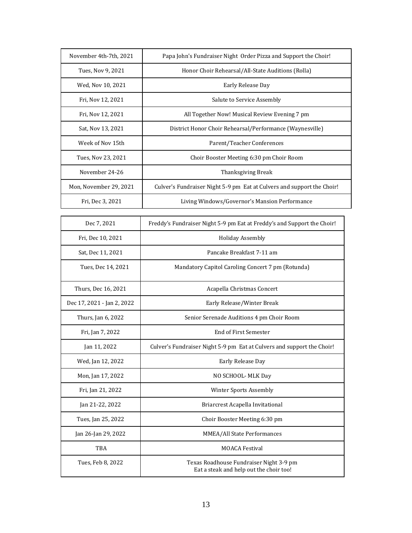| November 4th-7th, 2021 | Papa John's Fundraiser Night Order Pizza and Support the Choir!        |  |
|------------------------|------------------------------------------------------------------------|--|
| Tues, Nov 9, 2021      | Honor Choir Rehearsal/All-State Auditions (Rolla)                      |  |
| Wed, Nov 10, 2021      | Early Release Day                                                      |  |
| Fri, Nov 12, 2021      | Salute to Service Assembly                                             |  |
| Fri, Nov 12, 2021      | All Together Now! Musical Review Evening 7 pm                          |  |
| Sat, Nov 13, 2021      | District Honor Choir Rehearsal/Performance (Waynesville)               |  |
| Week of Nov 15th       | Parent/Teacher Conferences                                             |  |
| Tues, Nov 23, 2021     | Choir Booster Meeting 6:30 pm Choir Room                               |  |
| November 24-26         | Thanksgiving Break                                                     |  |
| Mon, November 29, 2021 | Culver's Fundraiser Night 5-9 pm Eat at Culvers and support the Choir! |  |
| Fri, Dec 3, 2021       | Living Windows/Governor's Mansion Performance                          |  |

| Dec 7, 2021                | Freddy's Fundraiser Night 5-9 pm Eat at Freddy's and Support the Choir!            |  |
|----------------------------|------------------------------------------------------------------------------------|--|
| Fri, Dec 10, 2021          | <b>Holiday Assembly</b>                                                            |  |
| Sat, Dec 11, 2021          | Pancake Breakfast 7-11 am                                                          |  |
| Tues, Dec 14, 2021         | Mandatory Capitol Caroling Concert 7 pm (Rotunda)                                  |  |
| Thurs, Dec 16, 2021        | Acapella Christmas Concert                                                         |  |
| Dec 17, 2021 - Jan 2, 2022 | Early Release/Winter Break                                                         |  |
| Thurs, Jan 6, 2022         | Senior Serenade Auditions 4 pm Choir Room                                          |  |
| Fri, Jan 7, 2022           | <b>End of First Semester</b>                                                       |  |
| Jan 11, 2022               | Culver's Fundraiser Night 5-9 pm Eat at Culvers and support the Choir!             |  |
| Wed, Jan 12, 2022          | Early Release Day                                                                  |  |
| Mon, Jan 17, 2022          | NO SCHOOL-MLK Day                                                                  |  |
| Fri, Jan 21, 2022          | Winter Sports Assembly                                                             |  |
| Jan 21-22, 2022            | Briarcrest Acapella Invitational                                                   |  |
| Tues, Jan 25, 2022         | Choir Booster Meeting 6:30 pm                                                      |  |
| Jan 26-Jan 29, 2022        | MMEA/All State Performances                                                        |  |
| <b>TBA</b>                 | <b>MOACA Festival</b>                                                              |  |
| Tues, Feb 8, 2022          | Texas Roadhouse Fundraiser Night 3-9 pm<br>Eat a steak and help out the choir too! |  |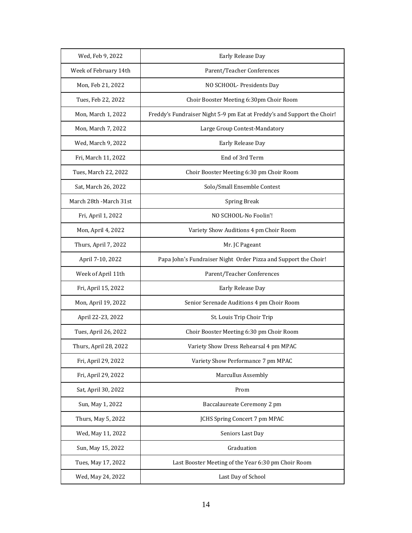| Wed, Feb 9, 2022       | Early Release Day                                                       |  |
|------------------------|-------------------------------------------------------------------------|--|
| Week of February 14th  | Parent/Teacher Conferences                                              |  |
| Mon, Feb 21, 2022      | NO SCHOOL- Presidents Day                                               |  |
| Tues, Feb 22, 2022     | Choir Booster Meeting 6:30pm Choir Room                                 |  |
| Mon, March 1, 2022     | Freddy's Fundraiser Night 5-9 pm Eat at Freddy's and Support the Choir! |  |
| Mon, March 7, 2022     | Large Group Contest-Mandatory                                           |  |
| Wed, March 9, 2022     | Early Release Day                                                       |  |
| Fri, March 11, 2022    | End of 3rd Term                                                         |  |
| Tues, March 22, 2022   | Choir Booster Meeting 6:30 pm Choir Room                                |  |
| Sat, March 26, 2022    | Solo/Small Ensemble Contest                                             |  |
| March 28th -March 31st | <b>Spring Break</b>                                                     |  |
| Fri, April 1, 2022     | NO SCHOOL-No Foolin'!                                                   |  |
| Mon, April 4, 2022     | Variety Show Auditions 4 pm Choir Room                                  |  |
| Thurs, April 7, 2022   | Mr. JC Pageant                                                          |  |
| April 7-10, 2022       | Papa John's Fundraiser Night Order Pizza and Support the Choir!         |  |
| Week of April 11th     | Parent/Teacher Conferences                                              |  |
| Fri, April 15, 2022    | Early Release Day                                                       |  |
| Mon, April 19, 2022    | Senior Serenade Auditions 4 pm Choir Room                               |  |
| April 22-23, 2022      | St. Louis Trip Choir Trip                                               |  |
| Tues, April 26, 2022   | Choir Booster Meeting 6:30 pm Choir Room                                |  |
| Thurs, April 28, 2022  | Variety Show Dress Rehearsal 4 pm MPAC                                  |  |
| Fri, April 29, 2022    | Variety Show Performance 7 pm MPAC                                      |  |
| Fri, April 29, 2022    | Marcullus Assembly                                                      |  |
| Sat, April 30, 2022    | Prom                                                                    |  |
| Sun, May 1, 2022       | Baccalaureate Ceremony 2 pm                                             |  |
| Thurs, May 5, 2022     | <b>JCHS Spring Concert 7 pm MPAC</b>                                    |  |
| Wed, May 11, 2022      | Seniors Last Day                                                        |  |
| Sun, May 15, 2022      | Graduation                                                              |  |
| Tues, May 17, 2022     | Last Booster Meeting of the Year 6:30 pm Choir Room                     |  |
| Wed, May 24, 2022      | Last Day of School                                                      |  |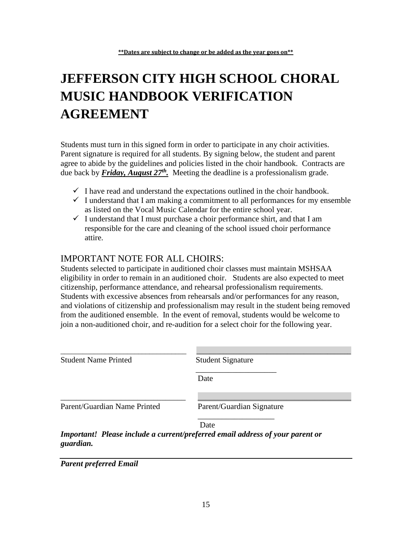# **JEFFERSON CITY HIGH SCHOOL CHORAL MUSIC HANDBOOK VERIFICATION AGREEMENT**

Students must turn in this signed form in order to participate in any choir activities. Parent signature is required for all students. By signing below, the student and parent agree to abide by the guidelines and policies listed in the choir handbook. Contracts are due back by *Friday, August 27<sup>th</sup>*. Meeting the deadline is a professionalism grade.

- $\checkmark$  I have read and understand the expectations outlined in the choir handbook.
- $\checkmark$  I understand that I am making a commitment to all performances for my ensemble as listed on the Vocal Music Calendar for the entire school year.
- $\checkmark$  I understand that I must purchase a choir performance shirt, and that I am responsible for the care and cleaning of the school issued choir performance attire.

#### IMPORTANT NOTE FOR ALL CHOIRS:

Students selected to participate in auditioned choir classes must maintain MSHSAA eligibility in order to remain in an auditioned choir. Students are also expected to meet citizenship, performance attendance, and rehearsal professionalism requirements. Students with excessive absences from rehearsals and/or performances for any reason, and violations of citizenship and professionalism may result in the student being removed from the auditioned ensemble. In the event of removal, students would be welcome to join a non-auditioned choir, and re-audition for a select choir for the following year.

| <b>Student Name Printed</b>  | <b>Student Signature</b>                                                      |
|------------------------------|-------------------------------------------------------------------------------|
|                              | Date                                                                          |
| Parent/Guardian Name Printed | Parent/Guardian Signature                                                     |
|                              | Date                                                                          |
| guardian.                    | Important! Please include a current/preferred email address of your parent or |

*Parent preferred Email*